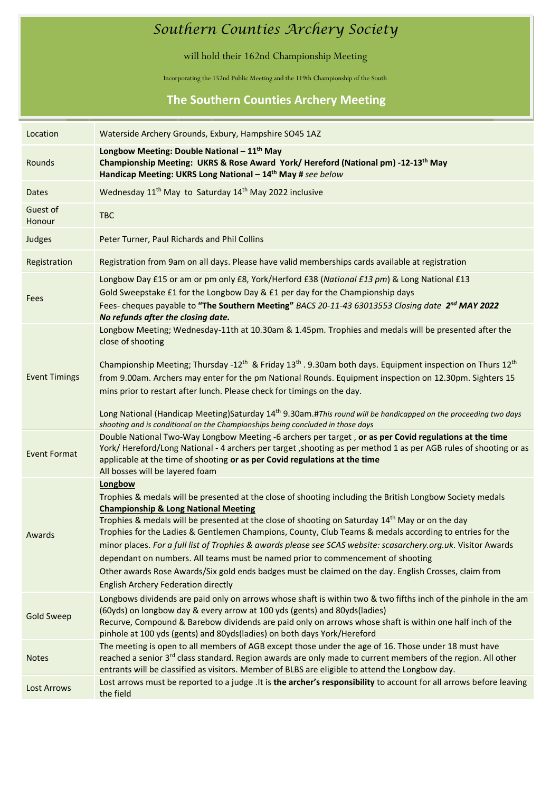## *Southern Counties Archery Society*

will hold their 162nd Championship Meeting

**mpshire Indoor Championships 2014** Incorporating the 152nd Public Meeting and the 119th Championship of the South

## **The Southern Counties Archery Meeting**

| Location             | Waterside Archery Grounds, Exbury, Hampshire SO45 1AZ                                                                                                                                                                                                                                                                                                                                                                                                                                                                                                                                                                                                                                                                                                         |
|----------------------|---------------------------------------------------------------------------------------------------------------------------------------------------------------------------------------------------------------------------------------------------------------------------------------------------------------------------------------------------------------------------------------------------------------------------------------------------------------------------------------------------------------------------------------------------------------------------------------------------------------------------------------------------------------------------------------------------------------------------------------------------------------|
| Rounds               | Longbow Meeting: Double National - 11 <sup>th</sup> May<br>Championship Meeting: UKRS & Rose Award York/ Hereford (National pm) -12-13 <sup>th</sup> May<br>Handicap Meeting: UKRS Long National - 14 <sup>th</sup> May # see below                                                                                                                                                                                                                                                                                                                                                                                                                                                                                                                           |
| Dates                | Wednesday 11 <sup>th</sup> May to Saturday 14 <sup>th</sup> May 2022 inclusive                                                                                                                                                                                                                                                                                                                                                                                                                                                                                                                                                                                                                                                                                |
| Guest of<br>Honour   | <b>TBC</b>                                                                                                                                                                                                                                                                                                                                                                                                                                                                                                                                                                                                                                                                                                                                                    |
| Judges               | Peter Turner, Paul Richards and Phil Collins                                                                                                                                                                                                                                                                                                                                                                                                                                                                                                                                                                                                                                                                                                                  |
| Registration         | Registration from 9am on all days. Please have valid memberships cards available at registration                                                                                                                                                                                                                                                                                                                                                                                                                                                                                                                                                                                                                                                              |
| Fees                 | Longbow Day £15 or am or pm only £8, York/Herford £38 (National £13 pm) & Long National £13<br>Gold Sweepstake £1 for the Longbow Day & £1 per day for the Championship days<br>Fees- cheques payable to "The Southern Meeting" BACS 20-11-43 63013553 Closing date 2 <sup>nd</sup> MAY 2022<br>No refunds after the closing date.                                                                                                                                                                                                                                                                                                                                                                                                                            |
| <b>Event Timings</b> | Longbow Meeting; Wednesday-11th at 10.30am & 1.45pm. Trophies and medals will be presented after the<br>close of shooting<br>Championship Meeting; Thursday -12 <sup>th</sup> & Friday 13 <sup>th</sup> . 9.30am both days. Equipment inspection on Thurs 12 <sup>th</sup><br>from 9.00am. Archers may enter for the pm National Rounds. Equipment inspection on 12.30pm. Sighters 15<br>mins prior to restart after lunch. Please check for timings on the day.<br>Long National (Handicap Meeting)Saturday 14 <sup>th</sup> 9.30am.#This round will be handicapped on the proceeding two days<br>shooting and is conditional on the Championships being concluded in those days                                                                             |
| <b>Event Format</b>  | Double National Two-Way Longbow Meeting -6 archers per target, or as per Covid regulations at the time<br>York/Hereford/Long National - 4 archers per target, shooting as per method 1 as per AGB rules of shooting or as<br>applicable at the time of shooting or as per Covid regulations at the time<br>All bosses will be layered foam                                                                                                                                                                                                                                                                                                                                                                                                                    |
| Awards               | Longbow<br>Trophies & medals will be presented at the close of shooting including the British Longbow Society medals<br><b>Championship &amp; Long National Meeting</b><br>Trophies & medals will be presented at the close of shooting on Saturday 14 <sup>th</sup> May or on the day<br>Trophies for the Ladies & Gentlemen Champions, County, Club Teams & medals according to entries for the<br>minor places. For a full list of Trophies & awards please see SCAS website: scasarchery.org.uk. Visitor Awards<br>dependant on numbers. All teams must be named prior to commencement of shooting<br>Other awards Rose Awards/Six gold ends badges must be claimed on the day. English Crosses, claim from<br><b>English Archery Federation directly</b> |
| <b>Gold Sweep</b>    | Longbows dividends are paid only on arrows whose shaft is within two & two fifths inch of the pinhole in the am<br>(60yds) on longbow day & every arrow at 100 yds (gents) and 80yds(ladies)<br>Recurve, Compound & Barebow dividends are paid only on arrows whose shaft is within one half inch of the<br>pinhole at 100 yds (gents) and 80yds(ladies) on both days York/Hereford                                                                                                                                                                                                                                                                                                                                                                           |
| <b>Notes</b>         | The meeting is open to all members of AGB except those under the age of 16. Those under 18 must have<br>reached a senior 3 <sup>rd</sup> class standard. Region awards are only made to current members of the region. All other<br>entrants will be classified as visitors. Member of BLBS are eligible to attend the Longbow day.                                                                                                                                                                                                                                                                                                                                                                                                                           |
| Lost Arrows          | Lost arrows must be reported to a judge .It is the archer's responsibility to account for all arrows before leaving<br>the field                                                                                                                                                                                                                                                                                                                                                                                                                                                                                                                                                                                                                              |